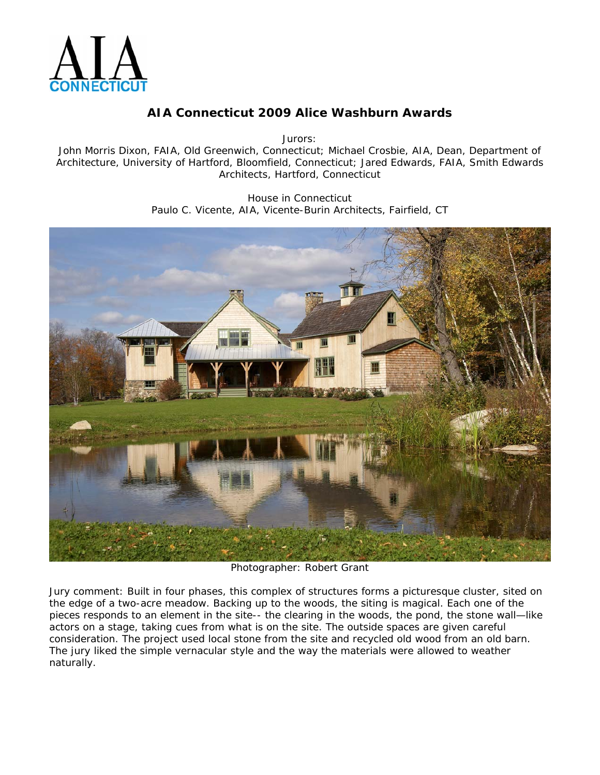

Jurors:

John Morris Dixon, FAIA, Old Greenwich, Connecticut; Michael Crosbie, AIA, Dean, Department of Architecture, University of Hartford, Bloomfield, Connecticut; Jared Edwards, FAIA, Smith Edwards Architects, Hartford, Connecticut

> House in Connecticut Paulo C. Vicente, AIA, Vicente-Burin Architects, Fairfield, CT



Photographer: Robert Grant

Jury comment: *Built in four phases, this complex of structures forms a picturesque cluster, sited on the edge of a two-acre meadow. Backing up to the woods, the siting is magical. Each one of the pieces responds to an element in the site-- the clearing in the woods, the pond, the stone wall—like actors on a stage, taking cues from what is on the site. The outside spaces are given careful consideration. The project used local stone from the site and recycled old wood from an old barn. The jury liked the simple vernacular style and the way the materials were allowed to weather naturally.*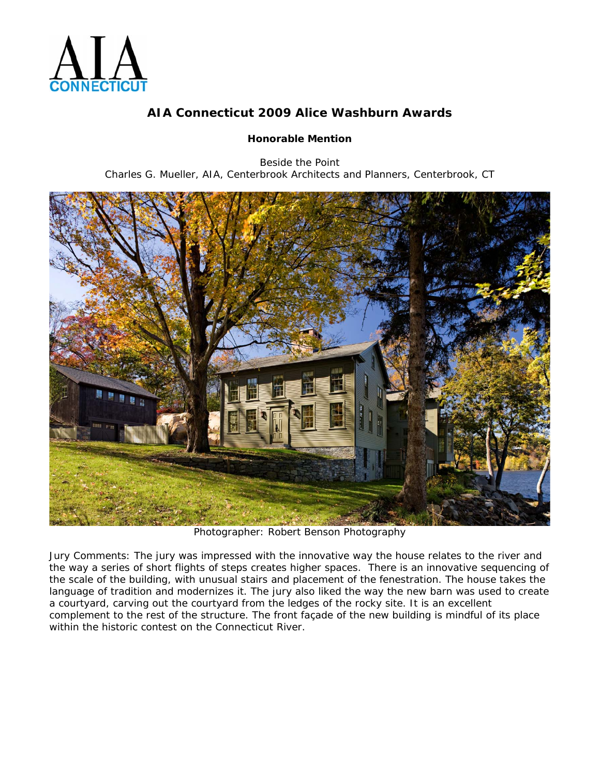

#### **Honorable Mention**

Beside the Point Charles G. Mueller, AIA, Centerbrook Architects and Planners, Centerbrook, CT



Photographer: Robert Benson Photography

Jury Comments: *The jury was impressed with the innovative way the house relates to the river and the way a series of short flights of steps creates higher spaces. There is an innovative sequencing of the scale of the building, with unusual stairs and placement of the fenestration. The house takes the*  language of tradition and modernizes it. The jury also liked the way the new barn was used to create *a courtyard, carving out the courtyard from the ledges of the rocky site. It is an excellent complement to the rest of the structure. The front façade of the new building is mindful of its place within the historic contest on the Connecticut River.*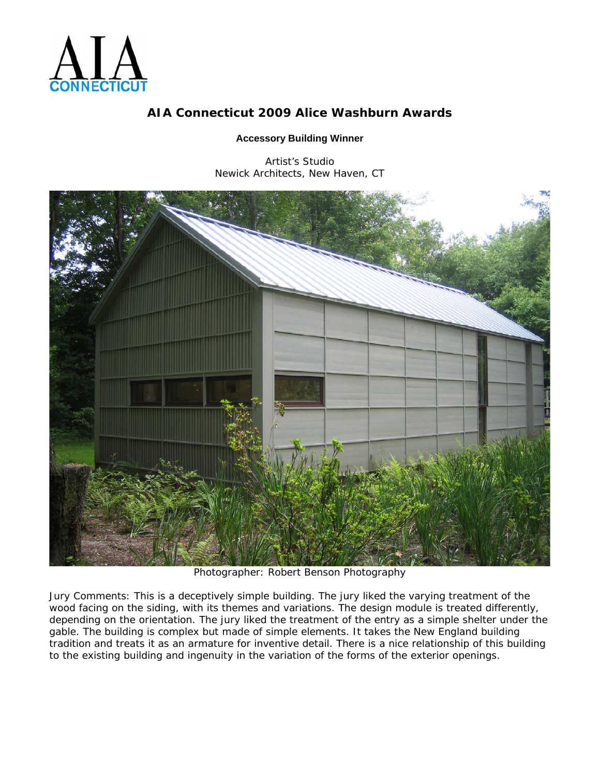

#### **Accessory Building Winner**

Artist's Studio Newick Architects, New Haven, CT



Photographer: Robert Benson Photography

Jury Comments: *This is a deceptively simple building. The jury liked the varying treatment of the wood facing on the siding, with its themes and variations. The design module is treated differently, depending on the orientation. The jury liked the treatment of the entry as a simple shelter under the gable. The building is complex but made of simple elements. It takes the New England building tradition and treats it as an armature for inventive detail. There is a nice relationship of this building to the existing building and ingenuity in the variation of the forms of the exterior openings.*